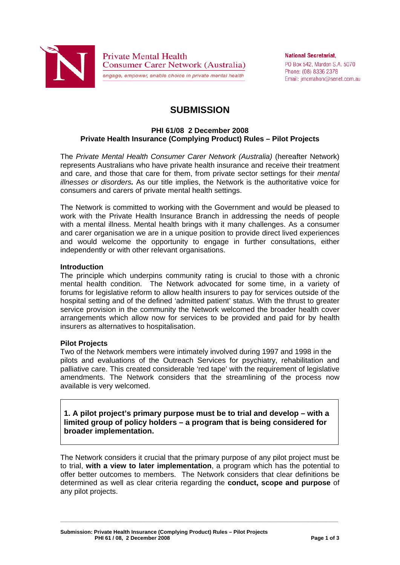

**National Secretariat.** PO Box 542, Marden S.A. 5070 Phone: (08) 8336 2378 Email: imcmahon@senet.com.au

# **SUBMISSION**

### **PHI 61/08 2 December 2008 Private Health Insurance (Complying Product) Rules – Pilot Projects**

The *Private Mental Health Consumer Carer Network (Australia)* (hereafter Network) represents Australians who have private health insurance and receive their treatment and care, and those that care for them, from private sector settings for their *mental illnesses or disorders.* As our title implies, the Network is the authoritative voice for consumers and carers of private mental health settings.

The Network is committed to working with the Government and would be pleased to work with the Private Health Insurance Branch in addressing the needs of people with a mental illness. Mental health brings with it many challenges. As a consumer and carer organisation we are in a unique position to provide direct lived experiences and would welcome the opportunity to engage in further consultations, either independently or with other relevant organisations.

#### **Introduction**

The principle which underpins community rating is crucial to those with a chronic mental health condition. The Network advocated for some time, in a variety of forums for legislative reform to allow health insurers to pay for services outside of the hospital setting and of the defined 'admitted patient' status. With the thrust to greater service provision in the community the Network welcomed the broader health cover arrangements which allow now for services to be provided and paid for by health insurers as alternatives to hospitalisation.

### **Pilot Projects**

Two of the Network members were intimately involved during 1997 and 1998 in the pilots and evaluations of the Outreach Services for psychiatry, rehabilitation and palliative care. This created considerable 'red tape' with the requirement of legislative amendments. The Network considers that the streamlining of the process now available is very welcomed.

**1. A pilot project's primary purpose must be to trial and develop – with a limited group of policy holders – a program that is being considered for broader implementation.** 

The Network considers it crucial that the primary purpose of any pilot project must be to trial, **with a view to later implementation**, a program which has the potential to offer better outcomes to members. The Network considers that clear definitions be determined as well as clear criteria regarding the **conduct, scope and purpose** of any pilot projects.

**\_\_\_\_\_\_\_\_\_\_\_\_\_\_\_\_\_\_\_\_\_\_\_\_\_\_\_\_\_\_\_\_\_\_\_\_\_\_\_\_\_\_\_\_\_\_\_\_\_\_\_\_\_\_\_\_\_\_\_\_\_\_\_\_\_\_\_\_\_\_\_\_\_\_\_\_\_\_\_\_\_\_\_\_\_\_\_\_\_\_\_\_\_**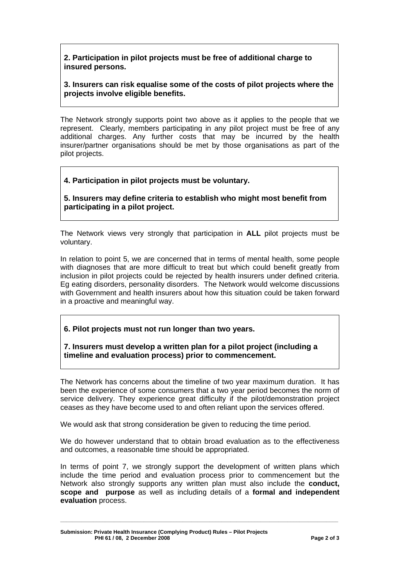# **2. Participation in pilot projects must be free of additional charge to insured persons.**

## **3. Insurers can risk equalise some of the costs of pilot projects where the projects involve eligible benefits.**

The Network strongly supports point two above as it applies to the people that we represent. Clearly, members participating in any pilot project must be free of any additional charges. Any further costs that may be incurred by the health insurer/partner organisations should be met by those organisations as part of the pilot projects.

## **4. Participation in pilot projects must be voluntary.**

**5. Insurers may define criteria to establish who might most benefit from participating in a pilot project.** 

The Network views very strongly that participation in **ALL** pilot projects must be voluntary.

In relation to point 5, we are concerned that in terms of mental health, some people with diagnoses that are more difficult to treat but which could benefit greatly from inclusion in pilot projects could be rejected by health insurers under defined criteria. Eg eating disorders, personality disorders. The Network would welcome discussions with Government and health insurers about how this situation could be taken forward in a proactive and meaningful way.

**6. Pilot projects must not run longer than two years.** 

**7. Insurers must develop a written plan for a pilot project (including a timeline and evaluation process) prior to commencement.** 

The Network has concerns about the timeline of two year maximum duration. It has been the experience of some consumers that a two year period becomes the norm of service delivery. They experience great difficulty if the pilot/demonstration project ceases as they have become used to and often reliant upon the services offered.

We would ask that strong consideration be given to reducing the time period.

We do however understand that to obtain broad evaluation as to the effectiveness and outcomes, a reasonable time should be appropriated.

In terms of point 7, we strongly support the development of written plans which include the time period and evaluation process prior to commencement but the Network also strongly supports any written plan must also include the **conduct, scope and purpose** as well as including details of a **formal and independent evaluation** process.

**\_\_\_\_\_\_\_\_\_\_\_\_\_\_\_\_\_\_\_\_\_\_\_\_\_\_\_\_\_\_\_\_\_\_\_\_\_\_\_\_\_\_\_\_\_\_\_\_\_\_\_\_\_\_\_\_\_\_\_\_\_\_\_\_\_\_\_\_\_\_\_\_\_\_\_\_\_\_\_\_\_\_\_\_\_\_\_\_\_\_\_\_\_**